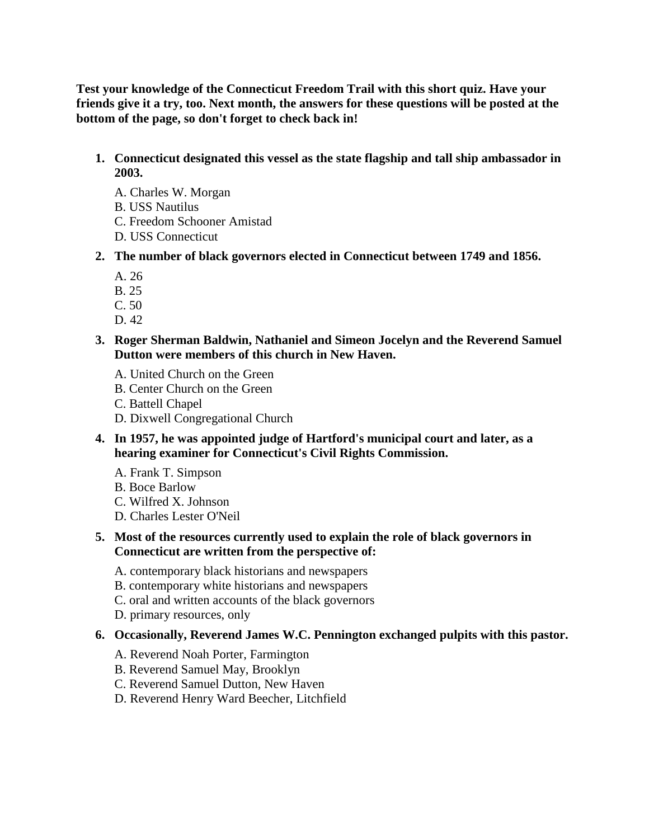**Test your knowledge of the Connecticut Freedom Trail with this short quiz. Have your friends give it a try, too. Next month, the answers for these questions will be posted at the bottom of the page, so don't forget to check back in!**

# **1. Connecticut designated this vessel as the state flagship and tall ship ambassador in 2003.**

- A. Charles W. Morgan
- B. USS Nautilus
- C. Freedom Schooner Amistad
- D. USS Connecticut
- **2. The number of black governors elected in Connecticut between 1749 and 1856.** 
	- A. 26
	- B. 25
	- C. 50
	- D. 42
- **3. Roger Sherman Baldwin, Nathaniel and Simeon Jocelyn and the Reverend Samuel Dutton were members of this church in New Haven.** 
	- A. United Church on the Green
	- B. Center Church on the Green
	- C. Battell Chapel
	- D. Dixwell Congregational Church
- **4. In 1957, he was appointed judge of Hartford's municipal court and later, as a hearing examiner for Connecticut's Civil Rights Commission.** 
	- A. Frank T. Simpson
	- B. Boce Barlow
	- C. Wilfred X. Johnson
	- D. Charles Lester O'Neil
- **5. Most of the resources currently used to explain the role of black governors in Connecticut are written from the perspective of:** 
	- A. contemporary black historians and newspapers
	- B. contemporary white historians and newspapers
	- C. oral and written accounts of the black governors
	- D. primary resources, only

#### **6. Occasionally, Reverend James W.C. Pennington exchanged pulpits with this pastor.**

- A. Reverend Noah Porter, Farmington
- B. Reverend Samuel May, Brooklyn
- C. Reverend Samuel Dutton, New Haven
- D. Reverend Henry Ward Beecher, Litchfield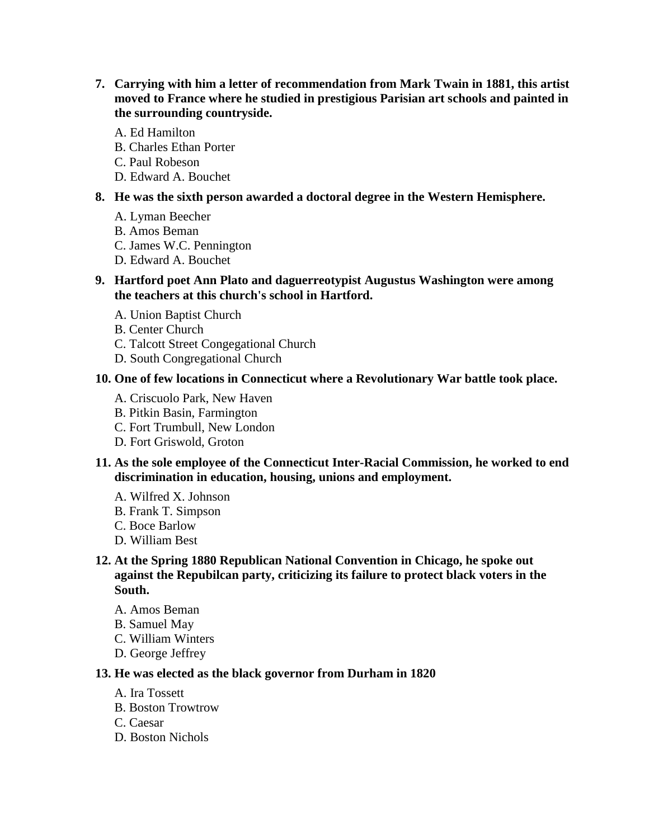- **7. Carrying with him a letter of recommendation from Mark Twain in 1881, this artist moved to France where he studied in prestigious Parisian art schools and painted in the surrounding countryside.** 
	- A. Ed Hamilton
	- B. Charles Ethan Porter
	- C. Paul Robeson
	- D. Edward A. Bouchet

## **8. He was the sixth person awarded a doctoral degree in the Western Hemisphere.**

- A. Lyman Beecher
- B. Amos Beman
- C. James W.C. Pennington
- D. Edward A. Bouchet
- **9. Hartford poet Ann Plato and daguerreotypist Augustus Washington were among the teachers at this church's school in Hartford.** 
	- A. Union Baptist Church
	- B. Center Church
	- C. Talcott Street Congegational Church
	- D. South Congregational Church

## **10. One of few locations in Connecticut where a Revolutionary War battle took place.**

- A. Criscuolo Park, New Haven
- B. Pitkin Basin, Farmington
- C. Fort Trumbull, New London
- D. Fort Griswold, Groton
- **11. As the sole employee of the Connecticut Inter-Racial Commission, he worked to end discrimination in education, housing, unions and employment.** 
	- A. Wilfred X. Johnson
	- B. Frank T. Simpson
	- C. Boce Barlow
	- D. William Best
- **12. At the Spring 1880 Republican National Convention in Chicago, he spoke out against the Repubilcan party, criticizing its failure to protect black voters in the South.** 
	- A. Amos Beman
	- B. Samuel May
	- C. William Winters
	- D. George Jeffrey

#### **13. He was elected as the black governor from Durham in 1820**

- A. Ira Tossett
- B. Boston Trowtrow
- C. Caesar
- D. Boston Nichols